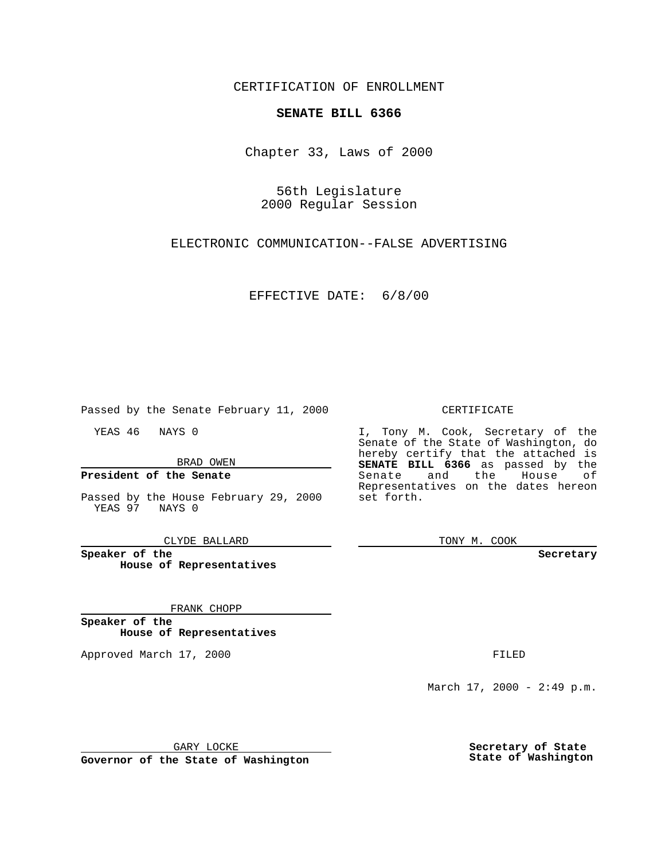CERTIFICATION OF ENROLLMENT

# **SENATE BILL 6366**

Chapter 33, Laws of 2000

56th Legislature 2000 Regular Session

ELECTRONIC COMMUNICATION--FALSE ADVERTISING

EFFECTIVE DATE: 6/8/00

Passed by the Senate February 11, 2000

YEAS 46 NAYS 0

BRAD OWEN

### **President of the Senate**

Passed by the House February 29, 2000 YEAS 97 NAYS 0

CLYDE BALLARD

**Speaker of the House of Representatives**

#### FRANK CHOPP

**Speaker of the House of Representatives**

Approved March 17, 2000 FILED

### CERTIFICATE

I, Tony M. Cook, Secretary of the Senate of the State of Washington, do hereby certify that the attached is **SENATE BILL 6366** as passed by the Senate and the House of Representatives on the dates hereon set forth.

TONY M. COOK

**Secretary**

March 17, 2000 - 2:49 p.m.

GARY LOCKE

**Governor of the State of Washington**

**Secretary of State State of Washington**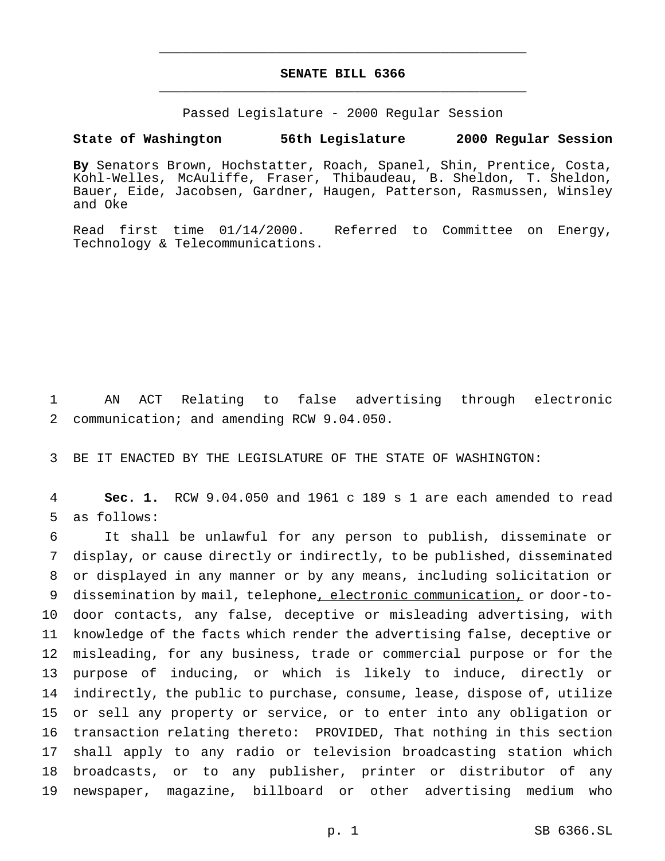# **SENATE BILL 6366** \_\_\_\_\_\_\_\_\_\_\_\_\_\_\_\_\_\_\_\_\_\_\_\_\_\_\_\_\_\_\_\_\_\_\_\_\_\_\_\_\_\_\_\_\_\_\_

\_\_\_\_\_\_\_\_\_\_\_\_\_\_\_\_\_\_\_\_\_\_\_\_\_\_\_\_\_\_\_\_\_\_\_\_\_\_\_\_\_\_\_\_\_\_\_

Passed Legislature - 2000 Regular Session

### **State of Washington 56th Legislature 2000 Regular Session**

**By** Senators Brown, Hochstatter, Roach, Spanel, Shin, Prentice, Costa, Kohl-Welles, McAuliffe, Fraser, Thibaudeau, B. Sheldon, T. Sheldon, Bauer, Eide, Jacobsen, Gardner, Haugen, Patterson, Rasmussen, Winsley and Oke

Read first time 01/14/2000. Referred to Committee on Energy, Technology & Telecommunications.

 AN ACT Relating to false advertising through electronic communication; and amending RCW 9.04.050.

BE IT ENACTED BY THE LEGISLATURE OF THE STATE OF WASHINGTON:

 **Sec. 1.** RCW 9.04.050 and 1961 c 189 s 1 are each amended to read as follows:

 It shall be unlawful for any person to publish, disseminate or display, or cause directly or indirectly, to be published, disseminated or displayed in any manner or by any means, including solicitation or dissemination by mail, telephone, electronic communication, or door-to- door contacts, any false, deceptive or misleading advertising, with knowledge of the facts which render the advertising false, deceptive or misleading, for any business, trade or commercial purpose or for the purpose of inducing, or which is likely to induce, directly or indirectly, the public to purchase, consume, lease, dispose of, utilize or sell any property or service, or to enter into any obligation or transaction relating thereto: PROVIDED, That nothing in this section shall apply to any radio or television broadcasting station which broadcasts, or to any publisher, printer or distributor of any newspaper, magazine, billboard or other advertising medium who